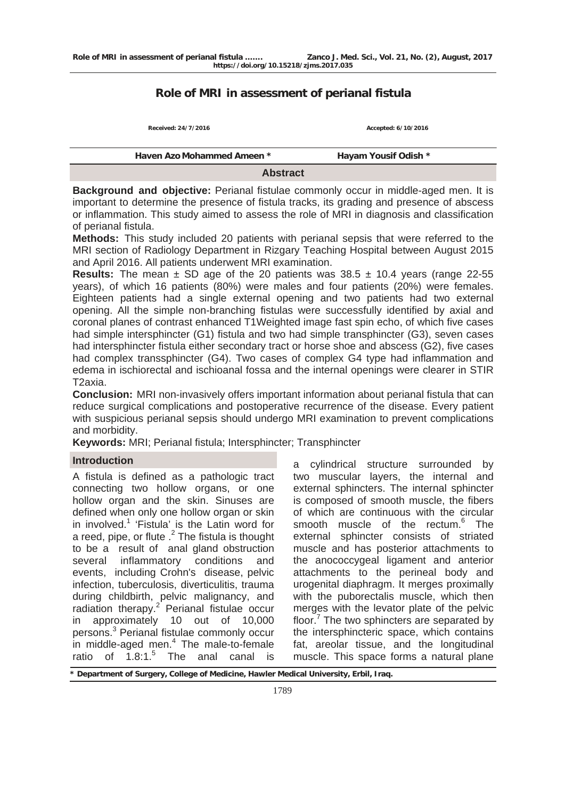# **Role of MRI in assessment of perianal fistula**

| <b>Abstract</b>      |  |  |  |  |
|----------------------|--|--|--|--|
| Hayam Yousif Odish * |  |  |  |  |
| Accepted: 6/10/2016  |  |  |  |  |
|                      |  |  |  |  |

**Background and objective:** Perianal fistulae commonly occur in middle-aged men. It is important to determine the presence of fistula tracks, its grading and presence of abscess or inflammation. This study aimed to assess the role of MRI in diagnosis and classification of perianal fistula.

**Methods:** This study included 20 patients with perianal sepsis that were referred to the MRI section of Radiology Department in Rizgary Teaching Hospital between August 2015 and April 2016. All patients underwent MRI examination.

**Results:** The mean  $\pm$  SD age of the 20 patients was  $38.5 \pm 10.4$  years (range 22-55 years), of which 16 patients (80%) were males and four patients (20%) were females. Eighteen patients had a single external opening and two patients had two external opening. All the simple non-branching fistulas were successfully identified by axial and coronal planes of contrast enhanced T1Weighted image fast spin echo, of which five cases had simple intersphincter (G1) fistula and two had simple transphincter (G3), seven cases had intersphincter fistula either secondary tract or horse shoe and abscess (G2), five cases had complex transsphincter (G4). Two cases of complex G4 type had inflammation and edema in ischiorectal and ischioanal fossa and the internal openings were clearer in STIR T2axia.

**Conclusion:** MRI non-invasively offers important information about perianal fistula that can reduce surgical complications and postoperative recurrence of the disease. Every patient with suspicious perianal sepsis should undergo MRI examination to prevent complications and morbidity.

**Keywords:** MRI; Perianal fistula; Intersphincter; Transphincter

## **Introduction**

A fistula is defined as a pathologic tract connecting two hollow organs, or one hollow organ and the skin. Sinuses are defined when only one hollow organ or skin in involved.<sup>1</sup> 'Fistula' is the Latin word for a reed, pipe, or flute  $.2$  The fistula is thought to be a result of anal gland obstruction several inflammatory conditions and events, including Crohn's disease, pelvic infection, tuberculosis, diverticulitis, trauma during childbirth, pelvic malignancy, and radiation therapy.<sup>2</sup> Perianal fistulae occur in approximately 10 out of 10,000 persons.<sup>3</sup> Perianal fistulae commonly occur in middle-aged men. $4$  The male-to-female ratio of  $1.8:1.^5$ The anal canal is

a cylindrical structure surrounded by two muscular layers, the internal and external sphincters. The internal sphincter is composed of smooth muscle, the fibers of which are continuous with the circular smooth muscle of the rectum.<sup>6</sup> The external sphincter consists of striated muscle and has posterior attachments to the anococcygeal ligament and anterior attachments to the perineal body and urogenital diaphragm. It merges proximally with the puborectalis muscle, which then merges with the levator plate of the pelvic floor.<sup>7</sup> The two sphincters are separated by the intersphincteric space, which contains fat, areolar tissue, and the longitudinal muscle. This space forms a natural plane

**\* Department of Surgery, College of Medicine, Hawler Medical University, Erbil, Iraq.**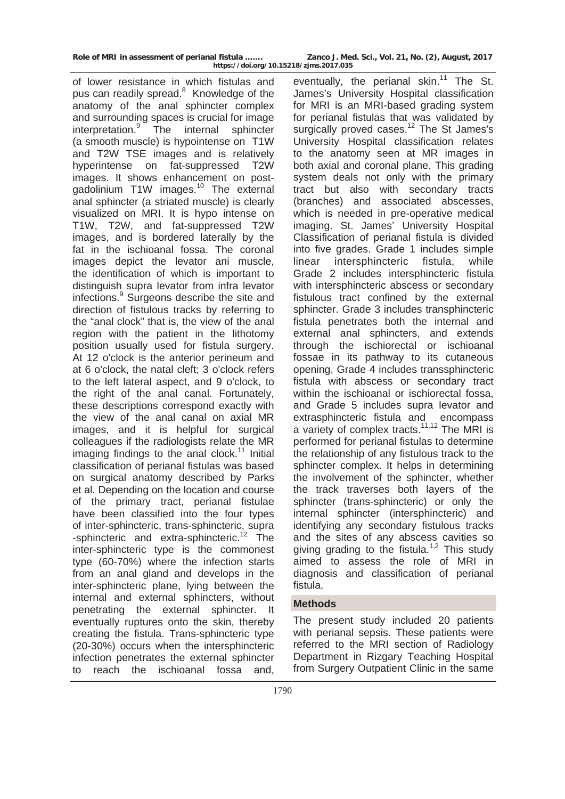of lower resistance in which fistulas and pus can readily spread.<sup>8</sup> Knowledge of the anatomy of the anal sphincter complex and surrounding spaces is crucial for image interpretation.<sup>9</sup> The internal sphincter (a smooth muscle) is hypointense on T1W and T2W TSE images and is relatively hyperintense on fat-suppressed T2W images. It shows enhancement on postgadolinium T1W images.<sup>10</sup> The external anal sphincter (a striated muscle) is clearly visualized on MRI. It is hypo intense on T1W, T2W, and fat-suppressed T2W images, and is bordered laterally by the fat in the ischioanal fossa. The coronal images depict the levator ani muscle, the identification of which is important to distinguish supra levator from infra levator infections.<sup>9</sup> Surgeons describe the site and direction of fistulous tracks by referring to the "anal clock" that is, the view of the anal region with the patient in the lithotomy position usually used for fistula surgery. At 12 o'clock is the anterior perineum and at 6 o'clock, the natal cleft; 3 o'clock refers to the left lateral aspect, and 9 o'clock, to the right of the anal canal. Fortunately, these descriptions correspond exactly with the view of the anal canal on axial MR images, and it is helpful for surgical colleagues if the radiologists relate the MR imaging findings to the anal clock.<sup>11</sup> Initial classification of perianal fistulas was based on surgical anatomy described by Parks et al. Depending on the location and course of the primary tract, perianal fistulae have been classified into the four types of inter-sphincteric, trans-sphincteric, supra -sphincteric and extra-sphincteric.<sup>12</sup> The inter-sphincteric type is the commonest type (60-70%) where the infection starts from an anal gland and develops in the inter-sphincteric plane, lying between the internal and external sphincters, without penetrating the external sphincter. eventually ruptures onto the skin, thereby creating the fistula. Trans-sphincteric type (20-30%) occurs when the intersphincteric infection penetrates the external sphincter to reach the ischioanal fossa and,

eventually, the perianal skin. $11$  The St. James's University Hospital classification for MRI is an MRI-based grading system for perianal fistulas that was validated by surgically proved cases.<sup>12</sup> The St James's University Hospital classification relates to the anatomy seen at MR images in both axial and coronal plane. This grading system deals not only with the primary tract but also with secondary tracts (branches) and associated abscesses, which is needed in pre-operative medical imaging. St. James' University Hospital Classification of perianal fistula is divided into five grades. Grade 1 includes simple linear intersphincteric fistula, while Grade 2 includes intersphincteric fistula with intersphincteric abscess or secondary fistulous tract confined by the external sphincter. Grade 3 includes transphincteric fistula penetrates both the internal and external anal sphincters, and extends through the ischiorectal or ischioanal fossae in its pathway to its cutaneous opening, Grade 4 includes transsphincteric fistula with abscess or secondary tract within the ischioanal or ischiorectal fossa, and Grade 5 includes supra levator and extrasphincteric fistula and encompass a variety of complex tracts.11,12 The MRI is performed for perianal fistulas to determine the relationship of any fistulous track to the sphincter complex. It helps in determining the involvement of the sphincter, whether the track traverses both layers of the sphincter (trans-sphincteric) or only the internal sphincter (intersphincteric) and identifying any secondary fistulous tracks and the sites of any abscess cavities so giving grading to the fistula.<sup>1,2</sup> This study aimed to assess the role of MRI in diagnosis and classification of perianal fistula.

## **Methods**

The present study included 20 patients with perianal sepsis. These patients were referred to the MRI section of Radiology Department in Rizgary Teaching Hospital from Surgery Outpatient Clinic in the same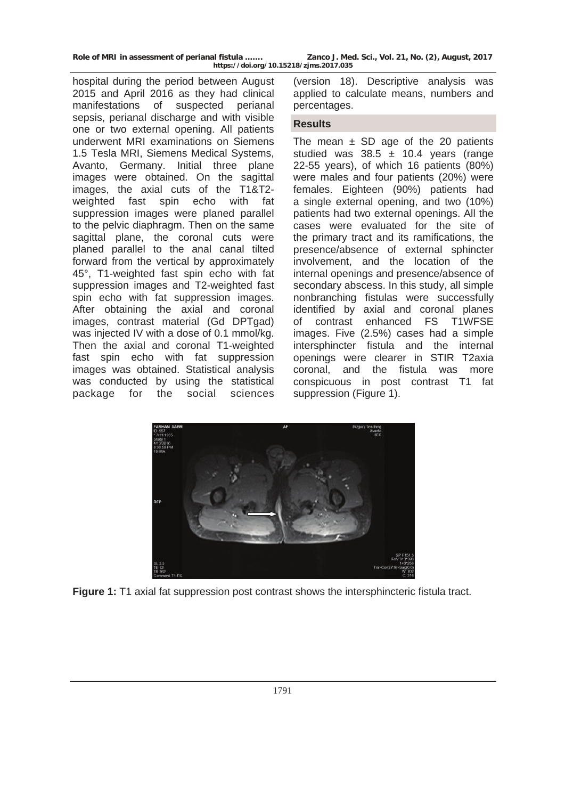| Role of MRI in assessment of perianal fistula | Zanco J. Med. Sci., Vol. 21, No. (2), August, 2017 |
|-----------------------------------------------|----------------------------------------------------|
| https://doi.org/10.15218/zjms.2017.035        |                                                    |

hospital during the period between August 2015 and April 2016 as they had clinical manifestations of suspected perianal sepsis, perianal discharge and with visible one or two external opening. All patients underwent MRI examinations on Siemens 1.5 Tesla MRI, Siemens Medical Systems, Avanto, Germany. Initial three plane images were obtained. On the sagittal images, the axial cuts of the T1&T2 weighted fast spin echo with fat suppression images were planed parallel to the pelvic diaphragm. Then on the same sagittal plane, the coronal cuts were planed parallel to the anal canal tilted forward from the vertical by approximately 45°, T1-weighted fast spin echo with fat suppression images and T2-weighted fast spin echo with fat suppression images. After obtaining the axial and coronal images, contrast material (Gd DPTgad) was injected IV with a dose of 0.1 mmol/kg. Then the axial and coronal T1-weighted fast spin echo with fat suppression images was obtained. Statistical analysis was conducted by using the statistical package for the social sciences

(version 18). Descriptive analysis was applied to calculate means, numbers and percentages.

#### **Results**

The mean  $\pm$  SD age of the 20 patients studied was  $38.5 \pm 10.4$  years (range 22-55 years), of which 16 patients (80%) were males and four patients (20%) were females. Eighteen (90%) patients had a single external opening, and two (10%) patients had two external openings. All the cases were evaluated for the site of the primary tract and its ramifications, the presence/absence of external sphincter involvement, and the location of the internal openings and presence/absence of secondary abscess. In this study, all simple nonbranching fistulas were successfully identified by axial and coronal planes of contrast enhanced FS T1WFSE images. Five (2.5%) cases had a simple intersphincter fistula and the internal openings were clearer in STIR T2axia coronal, and the fistula was more conspicuous in post contrast T1 fat suppression (Figure 1).



Figure 1: T1 axial fat suppression post contrast shows the intersphincteric fistula tract.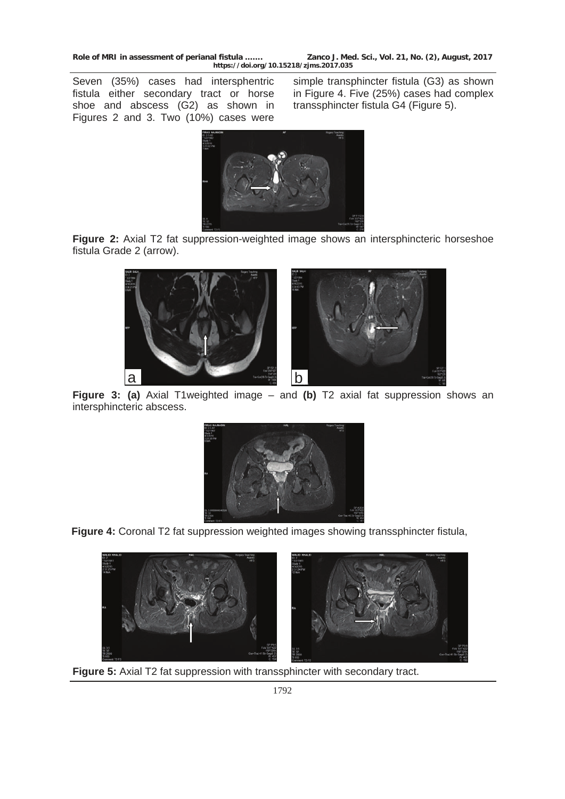**Role of MRI in assessment of perianal fistula ……. Zanco J. Med. Sci., Vol. 21, No. (2), August, 2017 https://doi.org/10.15218/zjms.2017.035**

Seven (35%) cases had intersphentric fistula either secondary tract or horse shoe and abscess (G2) as shown in Figures 2 and 3. Two (10%) cases were

simple transphincter fistula (G3) as shown in Figure 4. Five (25%) cases had complex transsphincter fistula G4 (Figure 5).



**Figure 2:** Axial T2 fat suppression-weighted image shows an intersphincteric horseshoe fistula Grade 2 (arrow).



**Figure 3: (a)** Axial T1weighted image – and **(b)** T2 axial fat suppression shows an intersphincteric abscess.



**Figure 4:** Coronal T2 fat suppression weighted images showing transsphincter fistula,



**Figure 5:** Axial T2 fat suppression with transsphincter with secondary tract.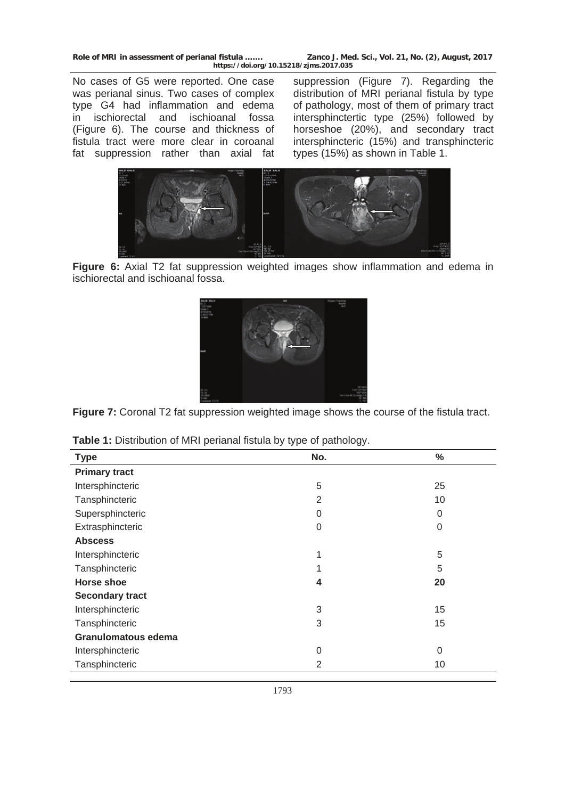**Role of MRI in assessment of perianal fistula ……. Zanco J. Med. Sci., Vol. 21, No. (2), August, 2017 https://doi.org/10.15218/zjms.2017.035**

No cases of G5 were reported. One case was perianal sinus. Two cases of complex type G4 had inflammation and edema in ischiorectal and ischioanal fossa (Figure 6). The course and thickness of fistula tract were more clear in coroanal fat suppression rather than axial fat

suppression (Figure 7). Regarding the distribution of MRI perianal fistula by type of pathology, most of them of primary tract intersphinctertic type (25%) followed by horseshoe (20%), and secondary tract intersphincteric (15%) and transphincteric types (15%) as shown in Table 1.



**Figure 6:** Axial T2 fat suppression weighted images show inflammation and edema in ischiorectal and ischioanal fossa.



**Figure 7:** Coronal T2 fat suppression weighted image shows the course of the fistula tract.

| <b>Type</b>            | No.      | $\%$        |
|------------------------|----------|-------------|
| <b>Primary tract</b>   |          |             |
| Intersphincteric       | 5        | 25          |
| Tansphincteric         | 2        | 10          |
| Supersphincteric       | 0        | $\mathbf 0$ |
| Extrasphincteric       | $\Omega$ | $\mathbf 0$ |
| <b>Abscess</b>         |          |             |
| Intersphincteric       | 1        | 5           |
| Tansphincteric         |          | 5           |
| <b>Horse shoe</b>      | 4        | 20          |
| <b>Secondary tract</b> |          |             |
| Intersphincteric       | 3        | 15          |
| Tansphincteric         | 3        | 15          |
| Granulomatous edema    |          |             |
| Intersphincteric       | $\Omega$ | $\mathbf 0$ |
| Tansphincteric         | 2        | 10          |

| <b>Table 1:</b> Distribution of MRI perianal fistula by type of pathology. |  |  |  |  |  |  |
|----------------------------------------------------------------------------|--|--|--|--|--|--|
|----------------------------------------------------------------------------|--|--|--|--|--|--|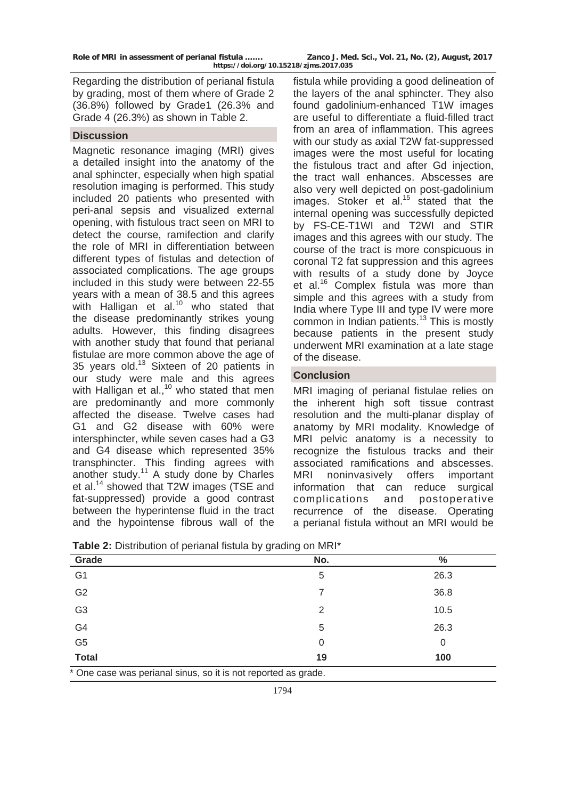Regarding the distribution of perianal fistula by grading, most of them where of Grade 2 (36.8%) followed by Grade1 (26.3% and Grade 4 (26.3%) as shown in Table 2.

#### **Discussion**

Magnetic resonance imaging (MRI) gives a detailed insight into the anatomy of the anal sphincter, especially when high spatial resolution imaging is performed. This study included 20 patients who presented with peri-anal sepsis and visualized external opening, with fistulous tract seen on MRI to detect the course, ramifection and clarify the role of MRI in differentiation between different types of fistulas and detection of associated complications. The age groups included in this study were between 22-55 years with a mean of 38.5 and this agrees with Halligan et al.<sup>10</sup> who stated that the disease predominantly strikes young adults. However, this finding disagrees with another study that found that perianal fistulae are more common above the age of 35 years old.13 Sixteen of 20 patients in our study were male and this agrees with Halligan et al., $10$  who stated that men are predominantly and more commonly affected the disease. Twelve cases had G1 and G2 disease with 60% were intersphincter, while seven cases had a G3 and G4 disease which represented 35% transphincter. This finding agrees with another study.<sup>11</sup> A study done by Charles et al.<sup>14</sup> showed that T2W images (TSE and fat-suppressed) provide a good contrast between the hyperintense fluid in the tract and the hypointense fibrous wall of the

fistula while providing a good delineation of the layers of the anal sphincter. They also found gadolinium-enhanced T1W images are useful to differentiate a fluid-filled tract from an area of inflammation. This agrees with our study as axial T2W fat-suppressed images were the most useful for locating the fistulous tract and after Gd injection, the tract wall enhances. Abscesses are also very well depicted on post-gadolinium images. Stoker et al. $15$  stated that the internal opening was successfully depicted by FS-CE-T1WI and T2WI and STIR images and this agrees with our study. The course of the tract is more conspicuous in coronal T2 fat suppression and this agrees with results of a study done by Joyce et al.<sup>16</sup> Complex fistula was more than simple and this agrees with a study from India where Type III and type IV were more common in Indian patients.<sup>13</sup> This is mostly because patients in the present study underwent MRI examination at a late stage of the disease.

## **Conclusion**

MRI imaging of perianal fistulae relies on the inherent high soft tissue contrast resolution and the multi-planar display of anatomy by MRI modality. Knowledge of MRI pelvic anatomy is a necessity to recognize the fistulous tracks and their associated ramifications and abscesses. MRI noninvasively offers important information that can reduce surgical complications and postoperative recurrence of the disease. Operating a perianal fistula without an MRI would be

| Grade          | No. | $\%$ |
|----------------|-----|------|
| G <sub>1</sub> | 5   | 26.3 |
| G <sub>2</sub> | 7   | 36.8 |
| G <sub>3</sub> | 2   | 10.5 |
|                | 5   | 26.3 |
| G4<br>G5       | 0   | 0    |
| <b>Total</b>   | 19  | 100  |

**Table 2:** Distribution of perianal fistula by grading on MRI\*

\* One case was perianal sinus, so it is not reported as grade.